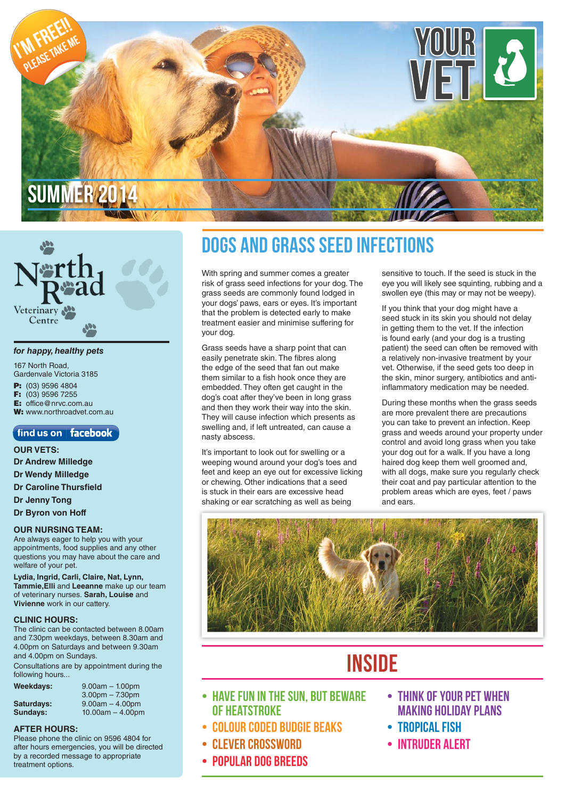

# Veterinary Centre

#### *for happy, healthy pets*

167 North Road, Gardenvale Victoria 3185 **P:** (03) 9596 4804<br>**F:** (03) 9596 7255 **F:** (03) 9596 7255 **E:** office@nrvc.com.au **W:** www.northroadvet.com.au

### $\sqrt{\ }$  find us on  $\mid$  **facebook**

**OUR VETS: Dr Andrew Milledge Dr Wendy Milledge**

**Dr Caroline Thursfield** 

**Dr Jenny Tong**

### **Dr Byron von Hoff**

### **OUR NURSING TEAM:**

Are always eager to help you with your appointments, food supplies and any other questions you may have about the care and welfare of your pet.

**Lydia, Ingrid, Carli, Claire, Nat, Lynn, Tammie,Elli** and **Leeanne** make up our team of veterinary nurses. **Sarah, Louise** and **Vivienne** work in our cattery.

#### **CLINIC HOURS:**

The clinic can be contacted between 8.00am and 7.30pm weekdays, between 8.30am and 4.00pm on Saturdays and between 9.30am and 4.00pm on Sundays.

Consultations are by appointment during the following hours...

| Weekdays:  | $9.00am - 1.00pm$  |
|------------|--------------------|
|            | $3.00pm - 7.30pm$  |
| Saturdays: | $9.00am - 4.00pm$  |
| Sundays:   | $10.00am - 4.00pm$ |

### **AFTER HOURS:**

Please phone the clinic on 9596 4804 for after hours emergencies, you will be directed by a recorded message to appropriate treatment options.

### **Dogs and Grass Seed Infections**

With spring and summer comes a greater risk of grass seed infections for your dog. The grass seeds are commonly found lodged in your dogs' paws, ears or eyes. It's important that the problem is detected early to make treatment easier and minimise suffering for your dog.

Grass seeds have a sharp point that can easily penetrate skin. The fibres along the edge of the seed that fan out make them similar to a fish hook once they are embedded. They often get caught in the dog's coat after they've been in long grass and then they work their way into the skin. They will cause infection which presents as swelling and, if left untreated, can cause a nasty abscess.

It's important to look out for swelling or a weeping wound around your dog's toes and feet and keep an eye out for excessive licking or chewing. Other indications that a seed is stuck in their ears are excessive head shaking or ear scratching as well as being

sensitive to touch. If the seed is stuck in the eye you will likely see squinting, rubbing and a swollen eye (this may or may not be weepy).

If you think that your dog might have a seed stuck in its skin you should not delay in getting them to the vet. If the infection is found early (and your dog is a trusting patient) the seed can often be removed with a relatively non-invasive treatment by your vet. Otherwise, if the seed gets too deep in the skin, minor surgery, antibiotics and antiinflammatory medication may be needed.

During these months when the grass seeds are more prevalent there are precautions you can take to prevent an infection. Keep grass and weeds around your property under control and avoid long grass when you take your dog out for a walk. If you have a long haired dog keep them well groomed and, with all dogs, make sure you regularly check their coat and pay particular attention to the problem areas which are eyes, feet / paws and ears.



### **Inside**

- **Have Fun in the sun, but beware of Heatstroke**
- **colour coded budgie beaks**
- **Clever Crossword**
- **POPULAR DOG BREEDS**
- **Think of your pet when making holiday plans**
- **Tropical Fish**
- **Intruder Alert**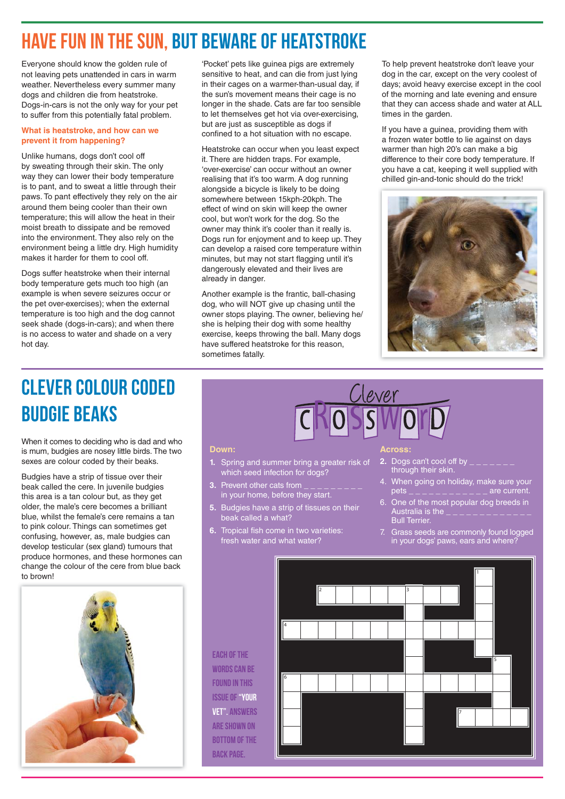### **Have Fun in the sun, but beware of Heatstroke**

Everyone should know the golden rule of not leaving pets unattended in cars in warm weather. Nevertheless every summer many dogs and children die from heatstroke. Dogs-in-cars is not the only way for your pet to suffer from this potentially fatal problem.

### **What is heatstroke, and how can we prevent it from happening?**

Unlike humans, dogs don't cool off by sweating through their skin. The only way they can lower their body temperature is to pant, and to sweat a little through their paws. To pant effectively they rely on the air around them being cooler than their own temperature; this will allow the heat in their moist breath to dissipate and be removed into the environment. They also rely on the environment being a little dry. High humidity makes it harder for them to cool off.

Dogs suffer heatstroke when their internal body temperature gets much too high (an example is when severe seizures occur or the pet over-exercises); when the external temperature is too high and the dog cannot seek shade (dogs-in-cars); and when there is no access to water and shade on a very hot day.

'Pocket' pets like guinea pigs are extremely sensitive to heat, and can die from just lying in their cages on a warmer-than-usual day, if the sun's movement means their cage is no longer in the shade. Cats are far too sensible to let themselves get hot via over-exercising, but are just as susceptible as dogs if confined to a hot situation with no escape.

Heatstroke can occur when you least expect it. There are hidden traps. For example, 'over-exercise' can occur without an owner realising that it's too warm. A dog running alongside a bicycle is likely to be doing somewhere between 15kph-20kph. The effect of wind on skin will keep the owner cool, but won't work for the dog. So the owner may think it's cooler than it really is. Dogs run for enjoyment and to keep up. They can develop a raised core temperature within minutes, but may not start flagging until it's dangerously elevated and their lives are already in danger.

Another example is the frantic, ball-chasing dog, who will NOT give up chasing until the owner stops playing. The owner, believing he/ she is helping their dog with some healthy exercise, keeps throwing the ball. Many dogs have suffered heatstroke for this reason, sometimes fatally.

To help prevent heatstroke don't leave your dog in the car, except on the very coolest of days; avoid heavy exercise except in the cool of the morning and late evening and ensure that they can access shade and water at ALL times in the garden.

If you have a guinea, providing them with a frozen water bottle to lie against on days warmer than high 20's can make a big difference to their core body temperature. If you have a cat, keeping it well supplied with chilled gin-and-tonic should do the trick!



## **Clever colour coded budgie beaks**

When it comes to deciding who is dad and who is mum, budgies are nosey little birds. The two sexes are colour coded by their beaks.

Budgies have a strip of tissue over their beak called the cere. In juvenile budgies this area is a tan colour but, as they get older, the male's cere becomes a brilliant blue, whilst the female's cere remains a tan to pink colour. Things can sometimes get confusing, however, as, male budgies can develop testicular (sex gland) tumours that produce hormones, and these hormones can change the colour of the cere from blue back to brown!

#### **Down:**

- **1.** Spring and summer bring a greater risk of which seed infection for dogs?
- **3.** Prevent other cats from  $\frac{1}{2}$   $\frac{1}{2}$   $\frac{1}{2}$   $\frac{1}{2}$   $\frac{1}{2}$   $\frac{1}{2}$ in your home, before they start.
- **5.** Budgies have a strip of tissues on their beak called a what?
- **6.** Tropical fish come in two varieties: fresh water and what water?

#### **Across:**

- **2.** Dogs can't cool off by through their skin.
- 4. When going on holiday, make sure your  $pets$  \_ \_ \_ \_ \_ \_ \_ \_ \_ \_ \_ are current.
- 6. One of the most popular dog breeds in Australia is the  $\frac{1}{2}$   $\frac{1}{2}$   $\frac{1}{2}$   $\frac{1}{2}$   $\frac{1}{2}$   $\frac{1}{2}$   $\frac{1}{2}$   $\frac{1}{2}$   $\frac{1}{2}$   $\frac{1}{2}$   $\frac{1}{2}$   $\frac{1}{2}$   $\frac{1}{2}$   $\frac{1}{2}$   $\frac{1}{2}$   $\frac{1}{2}$   $\frac{1}{2}$   $\frac{1}{2}$   $\frac{1}{2}$   $\frac{1}{2}$   $\frac{$ **Bull Terrier.**
- 7. Grass seeds are commonly found logged in your dogs' paws, ears and where?

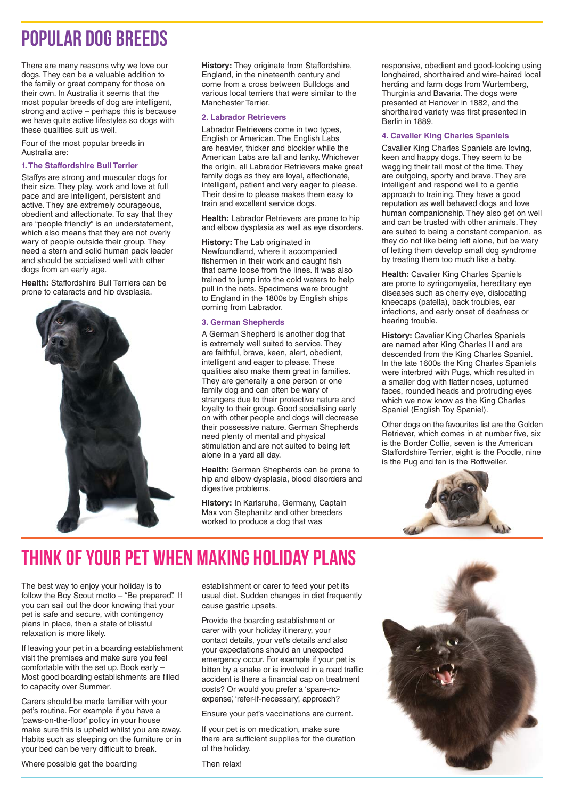### **popular dog breeds**

There are many reasons why we love our dogs. They can be a valuable addition to the family or great company for those on their own. In Australia it seems that the most popular breeds of dog are intelligent, strong and active – perhaps this is because we have quite active lifestyles so dogs with these qualities suit us well.

Four of the most popular breeds in Australia are:

#### **1. The Staffordshire Bull Terrier**

Staffys are strong and muscular dogs for their size. They play, work and love at full pace and are intelligent, persistent and active. They are extremely courageous, obedient and affectionate. To say that they are "people friendly" is an understatement, which also means that they are not overly wary of people outside their group. They need a stern and solid human pack leader and should be socialised well with other dogs from an early age.

**Health:** Staffordshire Bull Terriers can be prone to cataracts and hip dysplasia.



**History:** They originate from Staffordshire, England, in the nineteenth century and come from a cross between Bulldogs and various local terriers that were similar to the Manchester Terrier.

#### **2. Labrador Retrievers**

Labrador Retrievers come in two types, English or American. The English Labs are heavier, thicker and blockier while the American Labs are tall and lanky. Whichever the origin, all Labrador Retrievers make great family dogs as they are loyal, affectionate, intelligent, patient and very eager to please. Their desire to please makes them easy to train and excellent service dogs.

**Health:** Labrador Retrievers are prone to hip and elbow dysplasia as well as eye disorders.

**History:** The Lab originated in Newfoundland, where it accompanied fishermen in their work and caught fish that came loose from the lines. It was also trained to jump into the cold waters to help pull in the nets. Specimens were brought to England in the 1800s by English ships coming from Labrador.

### **3. German Shepherds**

A German Shepherd is another dog that is extremely well suited to service. They are faithful, brave, keen, alert, obedient, intelligent and eager to please. These qualities also make them great in families. They are generally a one person or one family dog and can often be wary of strangers due to their protective nature and loyalty to their group. Good socialising early on with other people and dogs will decrease their possessive nature. German Shepherds need plenty of mental and physical stimulation and are not suited to being left alone in a yard all day.

**Health:** German Shepherds can be prone to hip and elbow dysplasia, blood disorders and digestive problems.

**History:** In Karlsruhe, Germany, Captain Max von Stephanitz and other breeders worked to produce a dog that was

responsive, obedient and good-looking using longhaired, shorthaired and wire-haired local herding and farm dogs from Wurtemberg, Thurginia and Bavaria. The dogs were presented at Hanover in 1882, and the shorthaired variety was first presented in Berlin in 1889.

### **4. Cavalier King Charles Spaniels**

Cavalier King Charles Spaniels are loving, keen and happy dogs. They seem to be wagging their tail most of the time. They are outgoing, sporty and brave. They are intelligent and respond well to a gentle approach to training. They have a good reputation as well behaved dogs and love human companionship. They also get on well and can be trusted with other animals. They are suited to being a constant companion, as they do not like being left alone, but be wary of letting them develop small dog syndrome by treating them too much like a baby.

**Health:** Cavalier King Charles Spaniels are prone to syringomyelia, hereditary eye diseases such as cherry eye, dislocating kneecaps (patella), back troubles, ear infections, and early onset of deafness or hearing trouble.

**History:** Cavalier King Charles Spaniels are named after King Charles II and are descended from the King Charles Spaniel. In the late 1600s the King Charles Spaniels were interbred with Pugs, which resulted in a smaller dog with flatter noses, upturned faces, rounded heads and protruding eyes which we now know as the King Charles Spaniel (English Toy Spaniel).

Other dogs on the favourites list are the Golden Retriever, which comes in at number five, six is the Border Collie, seven is the American Staffordshire Terrier, eight is the Poodle, nine is the Pug and ten is the Rottweiler.



### **Think of your pet when making holiday plans**

The best way to enjoy your holiday is to follow the Boy Scout motto - "Be prepared". If you can sail out the door knowing that your pet is safe and secure, with contingency plans in place, then a state of blissful relaxation is more likely.

If leaving your pet in a boarding establishment visit the premises and make sure you feel comfortable with the set up. Book early – Most good boarding establishments are filled to capacity over Summer.

Carers should be made familiar with your pet's routine. For example if you have a 'paws-on-the-floor' policy in your house make sure this is upheld whilst you are away. Habits such as sleeping on the furniture or in your bed can be very difficult to break.

establishment or carer to feed your pet its usual diet. Sudden changes in diet frequently cause gastric upsets.

Provide the boarding establishment or carer with your holiday itinerary, your contact details, your vet's details and also your expectations should an unexpected emergency occur. For example if your pet is bitten by a snake or is involved in a road traffic accident is there a financial cap on treatment costs? Or would you prefer a 'spare-noexpense', 'refer-if-necessary', approach?

Ensure your pet's vaccinations are current.

If your pet is on medication, make sure there are sufficient supplies for the duration of the holiday.